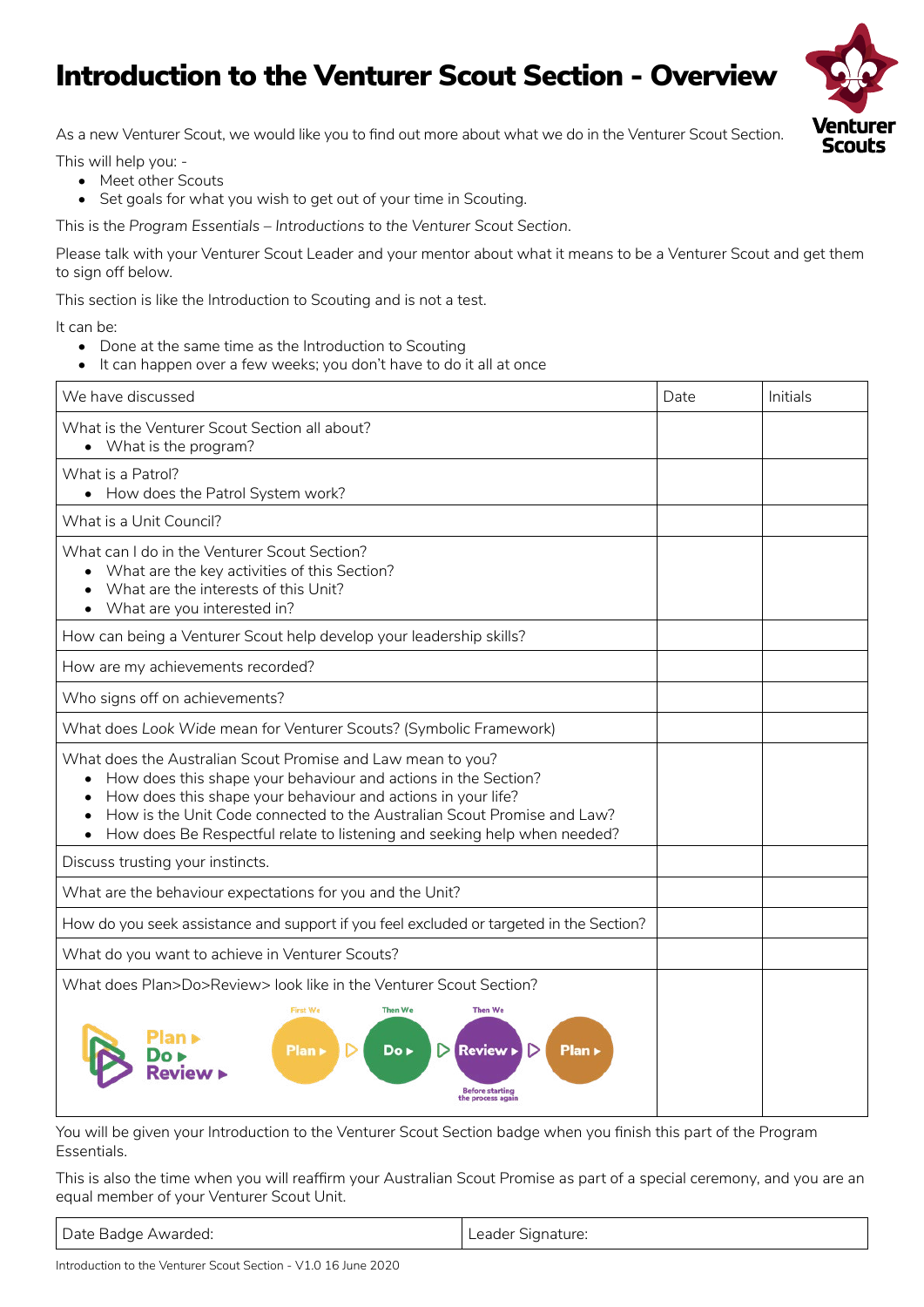## Introduction to the Venturer Scout Section - Overview



As a new Venturer Scout, we would like you to find out more about what we do in the Venturer Scout Section.

This will help you: -

- Meet other Scouts
- Set goals for what you wish to get out of your time in Scouting.

This is the *Program Essentials – Introductions to the Venturer Scout Section*.

Please talk with your Venturer Scout Leader and your mentor about what it means to be a Venturer Scout and get them to sign off below.

This section is like the Introduction to Scouting and is not a test.

It can be:

- Done at the same time as the Introduction to Scouting
- It can happen over a few weeks; you don't have to do it all at once

| We have discussed                                                                                                                                                                                                                                                                                                                                    | Date | Initials |
|------------------------------------------------------------------------------------------------------------------------------------------------------------------------------------------------------------------------------------------------------------------------------------------------------------------------------------------------------|------|----------|
| What is the Venturer Scout Section all about?<br>• What is the program?                                                                                                                                                                                                                                                                              |      |          |
| What is a Patrol?<br>• How does the Patrol System work?                                                                                                                                                                                                                                                                                              |      |          |
| What is a Unit Council?                                                                                                                                                                                                                                                                                                                              |      |          |
| What can I do in the Venturer Scout Section?<br>• What are the key activities of this Section?<br>What are the interests of this Unit?<br>What are you interested in?                                                                                                                                                                                |      |          |
| How can being a Venturer Scout help develop your leadership skills?                                                                                                                                                                                                                                                                                  |      |          |
| How are my achievements recorded?                                                                                                                                                                                                                                                                                                                    |      |          |
| Who signs off on achievements?                                                                                                                                                                                                                                                                                                                       |      |          |
| What does Look Wide mean for Venturer Scouts? (Symbolic Framework)                                                                                                                                                                                                                                                                                   |      |          |
| What does the Australian Scout Promise and Law mean to you?<br>How does this shape your behaviour and actions in the Section?<br>How does this shape your behaviour and actions in your life?<br>How is the Unit Code connected to the Australian Scout Promise and Law?<br>How does Be Respectful relate to listening and seeking help when needed? |      |          |
| Discuss trusting your instincts.                                                                                                                                                                                                                                                                                                                     |      |          |
| What are the behaviour expectations for you and the Unit?                                                                                                                                                                                                                                                                                            |      |          |
| How do you seek assistance and support if you feel excluded or targeted in the Section?                                                                                                                                                                                                                                                              |      |          |
| What do you want to achieve in Venturer Scouts?                                                                                                                                                                                                                                                                                                      |      |          |
| What does Plan>Do>Review> look like in the Venturer Scout Section?                                                                                                                                                                                                                                                                                   |      |          |
| <b>First We</b><br><b>Then We</b><br><b>Then We</b><br>Plan ><br>Do ►<br><b>Review</b><br>Plan ><br>Before starting<br>e process agair                                                                                                                                                                                                               |      |          |

You will be given your Introduction to the Venturer Scout Section badge when you finish this part of the Program Essentials.

This is also the time when you will reaffirm your Australian Scout Promise as part of a special ceremony, and you are an equal member of your Venturer Scout Unit.

| Date Badge Awarded:<br>Leader Signature: |
|------------------------------------------|
|------------------------------------------|